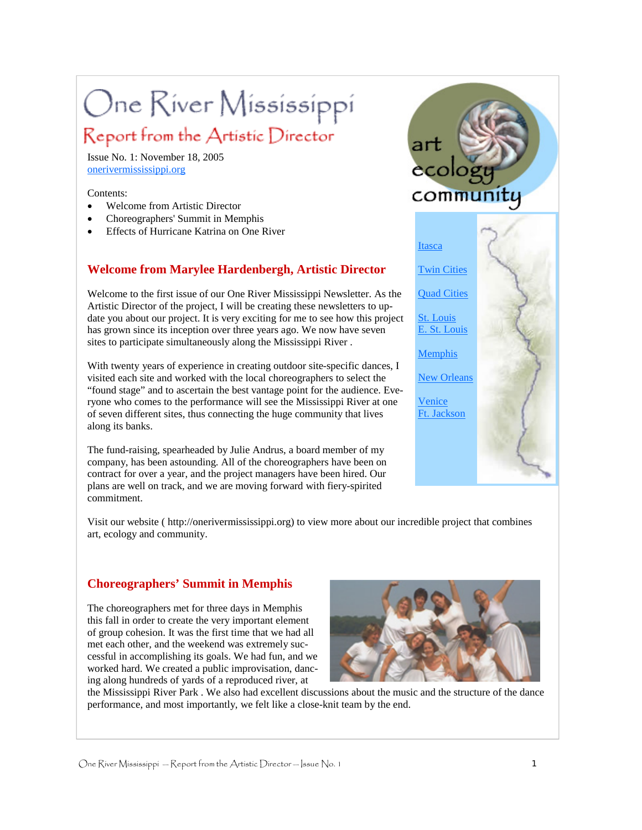# One River Mississippi

# Report from the Artistic Director

Issue No. 1: November 18, 2005 onerivermississippi.org

#### Contents:

- Welcome from Artistic Director
- Choreographers' Summit in Memphis
- Effects of Hurricane Katrina on One River

## **Welcome from Marylee Hardenbergh, Artistic Director**

Welcome to the first issue of our One River Mississippi Newsletter. As the Artistic Director of the project, I will be creating these newsletters to update you about our project. It is very exciting for me to see how this project has grown since its inception over three years ago. We now have seven sites to participate simultaneously along the Mississippi River .

With twenty years of experience in creating outdoor site-specific dances, I visited each site and worked with the local choreographers to select the "found stage" and to ascertain the best vantage point for the audience. Everyone who comes to the performance will see the Mississippi River at one of seven different sites, thus connecting the huge community that lives along its banks.

The fund-raising, spearheaded by Julie Andrus, a board member of my company, has been astounding. All of the choreographers have been on contract for over a year, and the project managers have been hired. Our plans are well on track, and we are moving forward with fiery-spirited commitment.





Visit our website ( http://onerivermississippi.org) to view more about our incredible project that combines art, ecology and community.

### **Choreographers' Summit in Memphis**

The choreographers met for three days in Memphis this fall in order to create the very important element of group cohesion. It was the first time that we had all met each other, and the weekend was extremely successful in accomplishing its goals. We had fun, and we worked hard. We created a public improvisation, dancing along hundreds of yards of a reproduced river, at



the Mississippi River Park . We also had excellent discussions about the music and the structure of the dance performance, and most importantly, we felt like a close-knit team by the end.